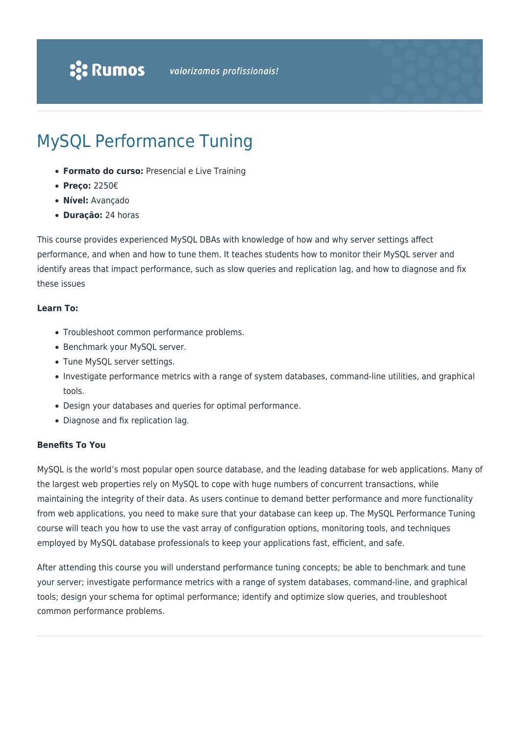# MySQL Performance Tuning

- **Formato do curso:** Presencial e Live Training
- **Preço:** 2250€
- **Nível:** Avançado
- **Duração:** 24 horas

This course provides experienced MySQL DBAs with knowledge of how and why server settings affect performance, and when and how to tune them. It teaches students how to monitor their MySQL server and identify areas that impact performance, such as slow queries and replication lag, and how to diagnose and fix these issues

#### **Learn To:**

- Troubleshoot common performance problems.
- Benchmark your MySQL server.
- Tune MySQL server settings.
- Investigate performance metrics with a range of system databases, command-line utilities, and graphical tools.
- Design your databases and queries for optimal performance.
- Diagnose and fix replication lag.

### **Benefits To You**

MySQL is the world's most popular open source database, and the leading database for web applications. Many of the largest web properties rely on MySQL to cope with huge numbers of concurrent transactions, while maintaining the integrity of their data. As users continue to demand better performance and more functionality from web applications, you need to make sure that your database can keep up. The MySQL Performance Tuning course will teach you how to use the vast array of configuration options, monitoring tools, and techniques employed by MySQL database professionals to keep your applications fast, efficient, and safe.

After attending this course you will understand performance tuning concepts; be able to benchmark and tune your server; investigate performance metrics with a range of system databases, command-line, and graphical tools; design your schema for optimal performance; identify and optimize slow queries, and troubleshoot common performance problems.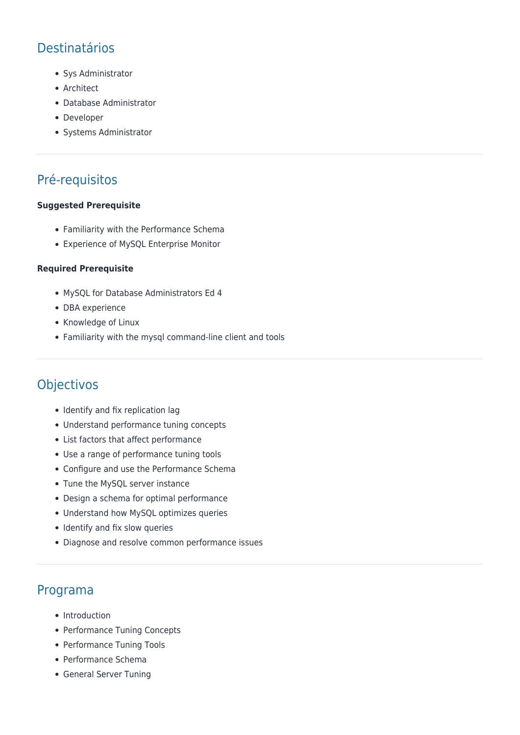## Destinatários

- Sys Administrator
- Architect
- Database Administrator
- Developer
- Systems Administrator

### Pré-requisitos

#### **Suggested Prerequisite**

- Familiarity with the Performance Schema
- Experience of MySQL Enterprise Monitor

#### **Required Prerequisite**

- MySQL for Database Administrators Ed 4
- DBA experience
- Knowledge of Linux
- Familiarity with the mysql command-line client and tools

### Objectivos

- Identify and fix replication lag
- Understand performance tuning concepts
- List factors that affect performance
- Use a range of performance tuning tools
- Configure and use the Performance Schema
- Tune the MySQL server instance
- Design a schema for optimal performance
- Understand how MySQL optimizes queries
- Identify and fix slow queries
- Diagnose and resolve common performance issues

### Programa

- Introduction
- Performance Tuning Concepts
- Performance Tuning Tools
- Performance Schema
- General Server Tuning